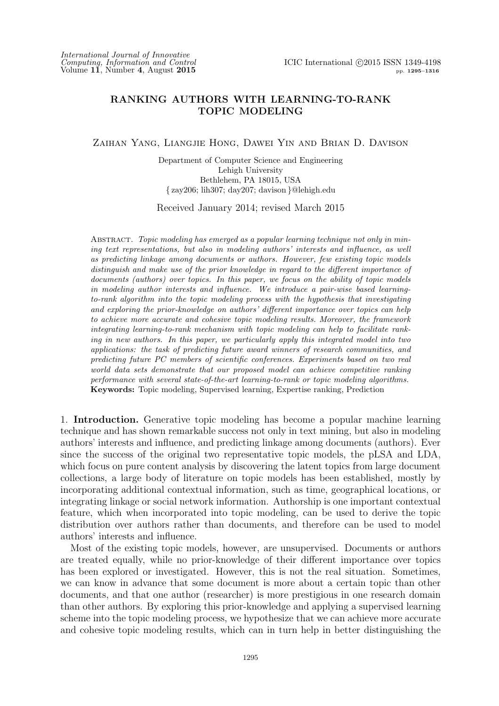## RANKING AUTHORS WITH LEARNING-TO-RANK TOPIC MODELING

Zaihan Yang, Liangjie Hong, Dawei Yin and Brian D. Davison

Department of Computer Science and Engineering Lehigh University Bethlehem, PA 18015, USA { zay206; lih307; day207; davison }@lehigh.edu

Received January 2014; revised March 2015

Abstract. *Topic modeling has emerged as a popular learning technique not only in mining text representations, but also in modeling authors' interests and influence, as well as predicting linkage among documents or authors. However, few existing topic models distinguish and make use of the prior knowledge in regard to the different importance of documents (authors) over topics. In this paper, we focus on the ability of topic models in modeling author interests and influence. We introduce a pair-wise based learningto-rank algorithm into the topic modeling process with the hypothesis that investigating and exploring the prior-knowledge on authors' different importance over topics can help to achieve more accurate and cohesive topic modeling results. Moreover, the framework integrating learning-to-rank mechanism with topic modeling can help to facilitate ranking in new authors. In this paper, we particularly apply this integrated model into two applications: the task of predicting future award winners of research communities, and predicting future PC members of scientific conferences. Experiments based on two real world data sets demonstrate that our proposed model can achieve competitive ranking performance with several state-of-the-art learning-to-rank or topic modeling algorithms.* Keywords: Topic modeling, Supervised learning, Expertise ranking, Prediction

1. Introduction. Generative topic modeling has become a popular machine learning technique and has shown remarkable success not only in text mining, but also in modeling authors' interests and influence, and predicting linkage among documents (authors). Ever since the success of the original two representative topic models, the pLSA and LDA, which focus on pure content analysis by discovering the latent topics from large document collections, a large body of literature on topic models has been established, mostly by incorporating additional contextual information, such as time, geographical locations, or integrating linkage or social network information. Authorship is one important contextual feature, which when incorporated into topic modeling, can be used to derive the topic distribution over authors rather than documents, and therefore can be used to model authors' interests and influence.

Most of the existing topic models, however, are unsupervised. Documents or authors are treated equally, while no prior-knowledge of their different importance over topics has been explored or investigated. However, this is not the real situation. Sometimes, we can know in advance that some document is more about a certain topic than other documents, and that one author (researcher) is more prestigious in one research domain than other authors. By exploring this prior-knowledge and applying a supervised learning scheme into the topic modeling process, we hypothesize that we can achieve more accurate and cohesive topic modeling results, which can in turn help in better distinguishing the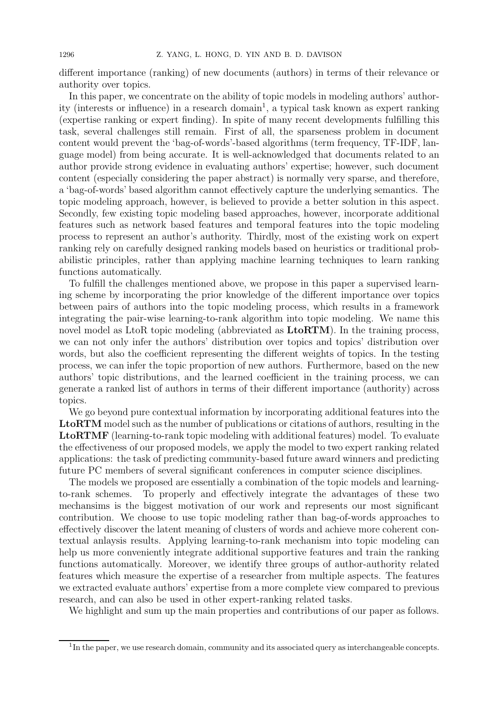different importance (ranking) of new documents (authors) in terms of their relevance or authority over topics.

In this paper, we concentrate on the ability of topic models in modeling authors' authority (interests or influence) in a research domain<sup>1</sup>, a typical task known as expert ranking (expertise ranking or expert finding). In spite of many recent developments fulfilling this task, several challenges still remain. First of all, the sparseness problem in document content would prevent the 'bag-of-words'-based algorithms (term frequency, TF-IDF, language model) from being accurate. It is well-acknowledged that documents related to an author provide strong evidence in evaluating authors' expertise; however, such document content (especially considering the paper abstract) is normally very sparse, and therefore, a 'bag-of-words' based algorithm cannot effectively capture the underlying semantics. The topic modeling approach, however, is believed to provide a better solution in this aspect. Secondly, few existing topic modeling based approaches, however, incorporate additional features such as network based features and temporal features into the topic modeling process to represent an author's authority. Thirdly, most of the existing work on expert ranking rely on carefully designed ranking models based on heuristics or traditional probabilistic principles, rather than applying machine learning techniques to learn ranking functions automatically.

To fulfill the challenges mentioned above, we propose in this paper a supervised learning scheme by incorporating the prior knowledge of the different importance over topics between pairs of authors into the topic modeling process, which results in a framework integrating the pair-wise learning-to-rank algorithm into topic modeling. We name this novel model as LtoR topic modeling (abbreviated as LtoRTM). In the training process, we can not only infer the authors' distribution over topics and topics' distribution over words, but also the coefficient representing the different weights of topics. In the testing process, we can infer the topic proportion of new authors. Furthermore, based on the new authors' topic distributions, and the learned coefficient in the training process, we can generate a ranked list of authors in terms of their different importance (authority) across topics.

We go beyond pure contextual information by incorporating additional features into the LtoRTM model such as the number of publications or citations of authors, resulting in the LtoRTMF (learning-to-rank topic modeling with additional features) model. To evaluate the effectiveness of our proposed models, we apply the model to two expert ranking related applications: the task of predicting community-based future award winners and predicting future PC members of several significant conferences in computer science disciplines.

The models we proposed are essentially a combination of the topic models and learningto-rank schemes. To properly and effectively integrate the advantages of these two mechansims is the biggest motivation of our work and represents our most significant contribution. We choose to use topic modeling rather than bag-of-words approaches to effectively discover the latent meaning of clusters of words and achieve more coherent contextual anlaysis results. Applying learning-to-rank mechanism into topic modeling can help us more conveniently integrate additional supportive features and train the ranking functions automatically. Moreover, we identify three groups of author-authority related features which measure the expertise of a researcher from multiple aspects. The features we extracted evaluate authors' expertise from a more complete view compared to previous research, and can also be used in other expert-ranking related tasks.

We highlight and sum up the main properties and contributions of our paper as follows.

<sup>&</sup>lt;sup>1</sup>In the paper, we use research domain, community and its associated query as interchangeable concepts.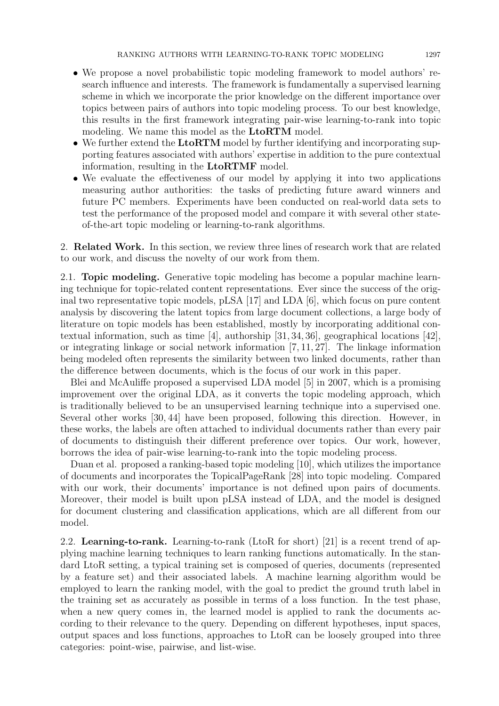- We propose a novel probabilistic topic modeling framework to model authors' research influence and interests. The framework is fundamentally a supervised learning scheme in which we incorporate the prior knowledge on the different importance over topics between pairs of authors into topic modeling process. To our best knowledge, this results in the first framework integrating pair-wise learning-to-rank into topic modeling. We name this model as the **LtoRTM** model.
- We further extend the LtoRTM model by further identifying and incorporating supporting features associated with authors' expertise in addition to the pure contextual information, resulting in the LtoRTMF model.
- We evaluate the effectiveness of our model by applying it into two applications measuring author authorities: the tasks of predicting future award winners and future PC members. Experiments have been conducted on real-world data sets to test the performance of the proposed model and compare it with several other stateof-the-art topic modeling or learning-to-rank algorithms.

2. Related Work. In this section, we review three lines of research work that are related to our work, and discuss the novelty of our work from them.

2.1. Topic modeling. Generative topic modeling has become a popular machine learning technique for topic-related content representations. Ever since the success of the original two representative topic models, pLSA [17] and LDA [6], which focus on pure content analysis by discovering the latent topics from large document collections, a large body of literature on topic models has been established, mostly by incorporating additional contextual information, such as time [4], authorship [31, 34, 36], geographical locations [42], or integrating linkage or social network information [7, 11, 27]. The linkage information being modeled often represents the similarity between two linked documents, rather than the difference between documents, which is the focus of our work in this paper.

Blei and McAuliffe proposed a supervised LDA model [5] in 2007, which is a promising improvement over the original LDA, as it converts the topic modeling approach, which is traditionally believed to be an unsupervised learning technique into a supervised one. Several other works [30, 44] have been proposed, following this direction. However, in these works, the labels are often attached to individual documents rather than every pair of documents to distinguish their different preference over topics. Our work, however, borrows the idea of pair-wise learning-to-rank into the topic modeling process.

Duan et al. proposed a ranking-based topic modeling [10], which utilizes the importance of documents and incorporates the TopicalPageRank [28] into topic modeling. Compared with our work, their documents' importance is not defined upon pairs of documents. Moreover, their model is built upon pLSA instead of LDA, and the model is designed for document clustering and classification applications, which are all different from our model.

2.2. Learning-to-rank. Learning-to-rank (LtoR for short) [21] is a recent trend of applying machine learning techniques to learn ranking functions automatically. In the standard LtoR setting, a typical training set is composed of queries, documents (represented by a feature set) and their associated labels. A machine learning algorithm would be employed to learn the ranking model, with the goal to predict the ground truth label in the training set as accurately as possible in terms of a loss function. In the test phase, when a new query comes in, the learned model is applied to rank the documents according to their relevance to the query. Depending on different hypotheses, input spaces, output spaces and loss functions, approaches to LtoR can be loosely grouped into three categories: point-wise, pairwise, and list-wise.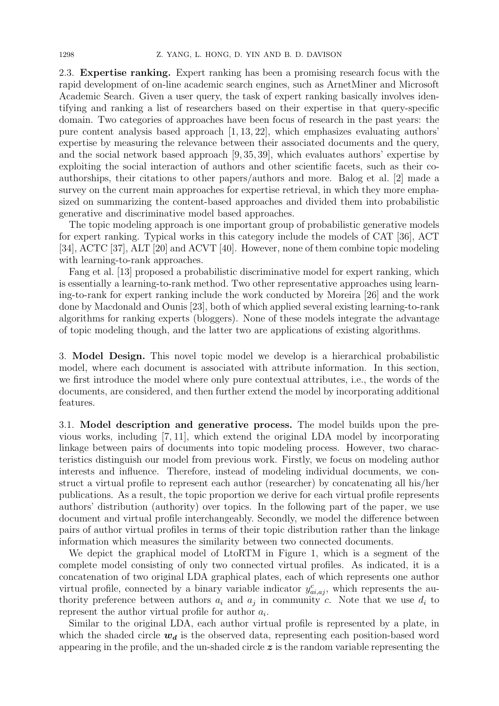2.3. Expertise ranking. Expert ranking has been a promising research focus with the rapid development of on-line academic search engines, such as ArnetMiner and Microsoft Academic Search. Given a user query, the task of expert ranking basically involves identifying and ranking a list of researchers based on their expertise in that query-specific domain. Two categories of approaches have been focus of research in the past years: the pure content analysis based approach [1, 13, 22], which emphasizes evaluating authors' expertise by measuring the relevance between their associated documents and the query, and the social network based approach [9, 35, 39], which evaluates authors' expertise by exploiting the social interaction of authors and other scientific facets, such as their coauthorships, their citations to other papers/authors and more. Balog et al. [2] made a survey on the current main approaches for expertise retrieval, in which they more emphasized on summarizing the content-based approaches and divided them into probabilistic generative and discriminative model based approaches.

The topic modeling approach is one important group of probabilistic generative models for expert ranking. Typical works in this category include the models of CAT [36], ACT [34], ACTC [37], ALT [20] and ACVT [40]. However, none of them combine topic modeling with learning-to-rank approaches.

Fang et al. [13] proposed a probabilistic discriminative model for expert ranking, which is essentially a learning-to-rank method. Two other representative approaches using learning-to-rank for expert ranking include the work conducted by Moreira [26] and the work done by Macdonald and Ounis [23], both of which applied several existing learning-to-rank algorithms for ranking experts (bloggers). None of these models integrate the advantage of topic modeling though, and the latter two are applications of existing algorithms.

3. Model Design. This novel topic model we develop is a hierarchical probabilistic model, where each document is associated with attribute information. In this section, we first introduce the model where only pure contextual attributes, i.e., the words of the documents, are considered, and then further extend the model by incorporating additional features.

3.1. Model description and generative process. The model builds upon the previous works, including [7, 11], which extend the original LDA model by incorporating linkage between pairs of documents into topic modeling process. However, two characteristics distinguish our model from previous work. Firstly, we focus on modeling author interests and influence. Therefore, instead of modeling individual documents, we construct a virtual profile to represent each author (researcher) by concatenating all his/her publications. As a result, the topic proportion we derive for each virtual profile represents authors' distribution (authority) over topics. In the following part of the paper, we use document and virtual profile interchangeably. Secondly, we model the difference between pairs of author virtual profiles in terms of their topic distribution rather than the linkage information which measures the similarity between two connected documents.

We depict the graphical model of LtoRTM in Figure 1, which is a segment of the complete model consisting of only two connected virtual profiles. As indicated, it is a concatenation of two original LDA graphical plates, each of which represents one author virtual profile, connected by a binary variable indicator  $y_{ai,aj}^c$ , which represents the authority preference between authors  $a_i$  and  $a_j$  in community c. Note that we use  $d_i$  to represent the author virtual profile for author  $a_i$ .

Similar to the original LDA, each author virtual profile is represented by a plate, in which the shaded circle  $w_d$  is the observed data, representing each position-based word appearing in the profile, and the un-shaded circle  $\boldsymbol{z}$  is the random variable representing the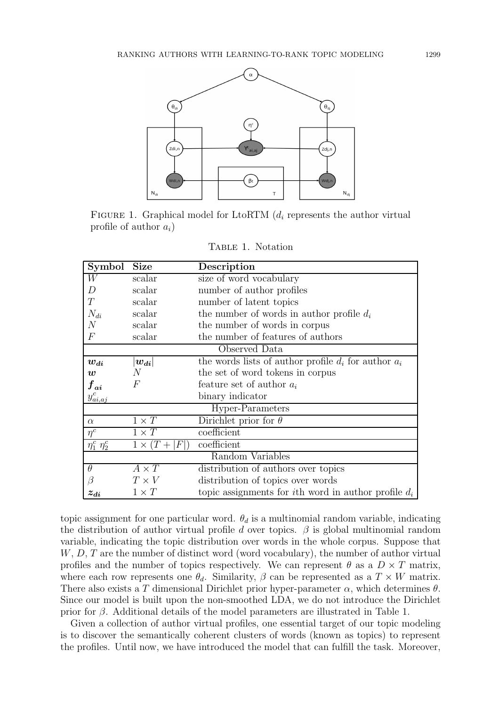

FIGURE 1. Graphical model for LtoRTM  $(d_i)$  represents the author virtual profile of author  $a_i$ )

| Symbol                | <b>Size</b>             | Description                                                    |  |  |
|-----------------------|-------------------------|----------------------------------------------------------------|--|--|
| W                     | scalar                  | size of word vocabulary                                        |  |  |
| D                     | scalar                  | number of author profiles                                      |  |  |
| T                     | scalar                  | number of latent topics                                        |  |  |
| $N_{di}$              | scalar                  | the number of words in author profile $d_i$                    |  |  |
| $\mathcal{N}$         | scalar                  | the number of words in corpus                                  |  |  |
| $\,F$                 | scalar                  | the number of features of authors                              |  |  |
|                       |                         | Observed Data                                                  |  |  |
| $w_{di}$              | $\left  w_{di}\right $  | the words lists of author profile $d_i$ for author $a_i$       |  |  |
| $\boldsymbol{w}$      | N                       | the set of word tokens in corpus                               |  |  |
| ${f}_{ai}$            | $\overline{F}$          | feature set of author $a_i$                                    |  |  |
| $y^c_{ai,aj}$         |                         | binary indicator                                               |  |  |
|                       |                         | Hyper-Parameters                                               |  |  |
| $\alpha$              | $1 \times T$            | Dirichlet prior for $\theta$                                   |  |  |
| $\overline{\eta^c}$   | $1 \times T$            | coefficient                                                    |  |  |
| $\eta_1^c$ $\eta_2^c$ | $1 \times (T +$<br> F ) | coefficient                                                    |  |  |
|                       |                         | Random Variables                                               |  |  |
| $\theta$              | $A \times T$            | distribution of authors over topics                            |  |  |
| $\beta$               | $T \times V$            | distribution of topics over words                              |  |  |
| $z_{di}$              | $1 \times T$            | topic assignments for <i>i</i> th word in author profile $d_i$ |  |  |

TABLE 1. Notation

topic assignment for one particular word.  $\theta_d$  is a multinomial random variable, indicating the distribution of author virtual profile d over topics.  $\beta$  is global multinomial random variable, indicating the topic distribution over words in the whole corpus. Suppose that  $W, D, T$  are the number of distinct word (word vocabulary), the number of author virtual profiles and the number of topics respectively. We can represent  $\theta$  as a  $D \times T$  matrix, where each row represents one  $\theta_d$ . Similarity,  $\beta$  can be represented as a  $T \times W$  matrix. There also exists a T dimensional Dirichlet prior hyper-parameter  $\alpha$ , which determines  $\theta$ . Since our model is built upon the non-smoothed LDA, we do not introduce the Dirichlet prior for  $\beta$ . Additional details of the model parameters are illustrated in Table 1.

Given a collection of author virtual profiles, one essential target of our topic modeling is to discover the semantically coherent clusters of words (known as topics) to represent the profiles. Until now, we have introduced the model that can fulfill the task. Moreover,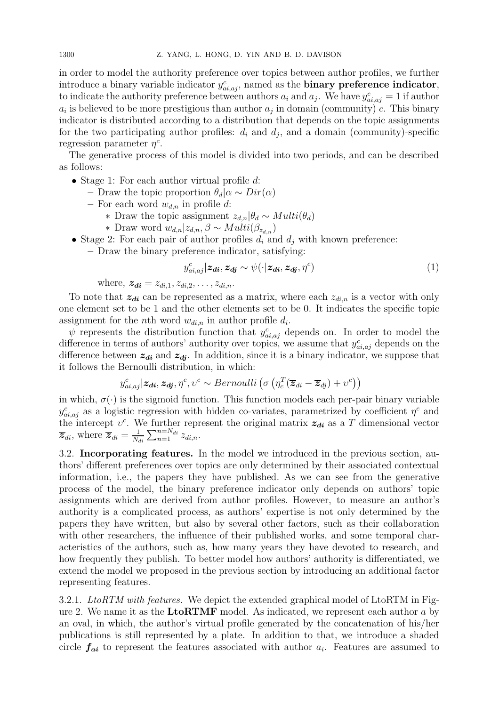in order to model the authority preference over topics between author profiles, we further introduce a binary variable indicator  $y_{ai,aj}^c$ , named as the **binary preference indicator**, to indicate the authority preference between authors  $a_i$  and  $a_j$ . We have  $y_{ai,aj}^c = 1$  if author  $a_i$  is believed to be more prestigious than author  $a_j$  in domain (community) c. This binary indicator is distributed according to a distribution that depends on the topic assignments for the two participating author profiles:  $d_i$  and  $d_j$ , and a domain (community)-specific regression parameter  $\eta^c$ .

The generative process of this model is divided into two periods, and can be described as follows:

- Stage 1: For each author virtual profile  $d$ :
	- Draw the topic proportion  $\theta_d | \alpha \sim Dir(\alpha)$
	- For each word  $w_{d,n}$  in profile d:
		- ∗ Draw the topic assignment  $z_{d,n}$ |θ<sub>d</sub> ∼ Multi(θ<sub>d</sub>)
		- ∗ Draw word  $w_{d,n}|z_{d,n}, β \sim Multi(\beta_{z_{d,n}})$
- Stage 2: For each pair of author profiles  $d_i$  and  $d_j$  with known preference:
	- Draw the binary preference indicator, satisfying:

$$
y_{ai,aj}^c | \mathbf{z}_{di}, \mathbf{z}_{dj} \sim \psi(\cdot | \mathbf{z}_{di}, \mathbf{z}_{dj}, \eta^c)
$$
 (1)

where,  $z_{di} = z_{di,1}, z_{di,2}, \ldots, z_{di,n}$ .

To note that  $z_{di}$  can be represented as a matrix, where each  $z_{di,n}$  is a vector with only one element set to be 1 and the other elements set to be 0. It indicates the specific topic assignment for the *n*th word  $w_{di,n}$  in author profile  $d_i$ .

 $\psi$  represents the distribution function that  $y_{ai,aj}^c$  depends on. In order to model the difference in terms of authors' authority over topics, we assume that  $y_{ai,aj}^c$  depends on the difference between  $z_{di}$  and  $z_{dj}$ . In addition, since it is a binary indicator, we suppose that it follows the Bernoulli distribution, in which:

$$
y_{ai,aj}^c | \mathbf{z}_{di}, \mathbf{z}_{dj}, \eta^c, \upsilon^c \sim Bernoulli\left(\sigma\left(\eta_c^T(\overline{\mathbf{z}}_{di} - \overline{\mathbf{z}}_{dj}) + \upsilon^c\right)\right)
$$

in which,  $\sigma(\cdot)$  is the sigmoid function. This function models each per-pair binary variable  $y_{ai,aj}^c$  as a logistic regression with hidden co-variates, parametrized by coefficient  $\eta^c$  and the intercept  $v^c$ . We further represent the original matrix  $z_{di}$  as a T dimensional vector  $\overline{z}_{di}$ , where  $\overline{z}_{di} = \frac{1}{N}$  $\frac{1}{N_{di}}\sum_{n=1}^{n=N_{di}}z_{di,n}$ .

3.2. Incorporating features. In the model we introduced in the previous section, authors' different preferences over topics are only determined by their associated contextual information, i.e., the papers they have published. As we can see from the generative process of the model, the binary preference indicator only depends on authors' topic assignments which are derived from author profiles. However, to measure an author's authority is a complicated process, as authors' expertise is not only determined by the papers they have written, but also by several other factors, such as their collaboration with other researchers, the influence of their published works, and some temporal characteristics of the authors, such as, how many years they have devoted to research, and how frequently they publish. To better model how authors' authority is differentiated, we extend the model we proposed in the previous section by introducing an additional factor representing features.

3.2.1. *LtoRTM with features.* We depict the extended graphical model of LtoRTM in Figure 2. We name it as the  $LioRTMF$  model. As indicated, we represent each author a by an oval, in which, the author's virtual profile generated by the concatenation of his/her publications is still represented by a plate. In addition to that, we introduce a shaded circle  $f_{ai}$  to represent the features associated with author  $a_i$ . Features are assumed to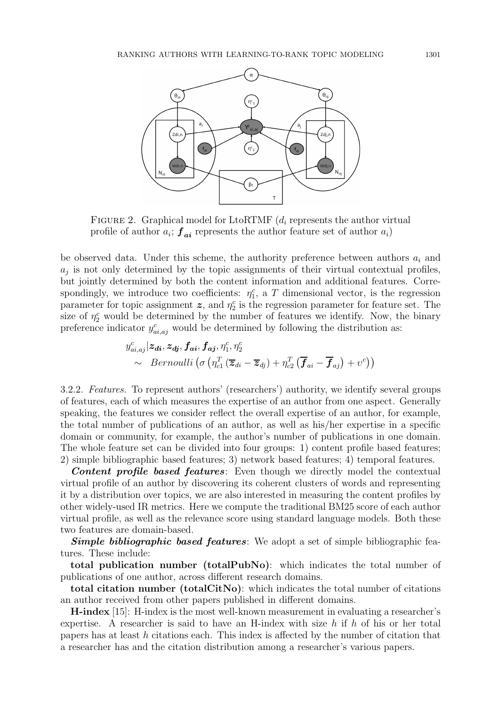

FIGURE 2. Graphical model for LtoRTMF  $(d_i)$  represents the author virtual profile of author  $a_i$ ;  $\boldsymbol{f}_{ai}$  represents the author feature set of author  $a_i$ )

be observed data. Under this scheme, the authority preference between authors  $a_i$  and  $a_j$  is not only determined by the topic assignments of their virtual contextual profiles, but jointly determined by both the content information and additional features. Correspondingly, we introduce two coefficients:  $\eta_1^c$ , a T dimensional vector, is the regression parameter for topic assignment  $\boldsymbol{z}$ , and  $\eta_2^c$  is the regression parameter for feature set. The size of  $\eta_2^c$  would be determined by the number of features we identify. Now, the binary preference indicator  $y_{ai,aj}^c$  would be determined by following the distribution as:

$$
y_{ai,aj}^c | \mathbf{z}_{di}, \mathbf{z}_{dj}, \mathbf{f}_{ai}, \mathbf{f}_{aj}, \eta_1^c, \eta_2^c
$$
  
 
$$
\sim \quad Bernoulli\left(\sigma\left(\eta_{c1}^T(\overline{\mathbf{z}}_{di} - \overline{\mathbf{z}}_{dj}) + \eta_{c2}^T(\overline{\mathbf{f}}_{ai} - \overline{\mathbf{f}}_{aj}) + v^c\right)\right)
$$

3.2.2. Features. To represent authors' (researchers') authority, we identify several groups of features, each of which measures the expertise of an author from one aspect. Generally speaking, the features we consider reflect the overall expertise of an author, for example, the total number of publications of an author, as well as his/her expertise in a specific domain or community, for example, the author's number of publications in one domain. The whole feature set can be divided into four groups: 1) content profile based features; 2) simple bibliographic based features; 3) network based features; 4) temporal features.

Content profile based features: Even though we directly model the contextual virtual profile of an author by discovering its coherent clusters of words and representing it by a distribution over topics, we are also interested in measuring the content profiles by other widely-used IR metrics. Here we compute the traditional BM25 score of each author virtual profile, as well as the relevance score using standard language models. Both these two features are domain-based.

**Simple bibliographic based features:** We adopt a set of simple bibliographic features. These include:

total publication number (totalPubNo): which indicates the total number of publications of one author, across different research domains.

total citation number (totalCitNo): which indicates the total number of citations an author received from other papers published in different domains.

H-index [15]: H-index is the most well-known measurement in evaluating a researcher's expertise. A researcher is said to have an H-index with size  $h$  if  $h$  of his or her total papers has at least h citations each. This index is affected by the number of citation that a researcher has and the citation distribution among a researcher's various papers.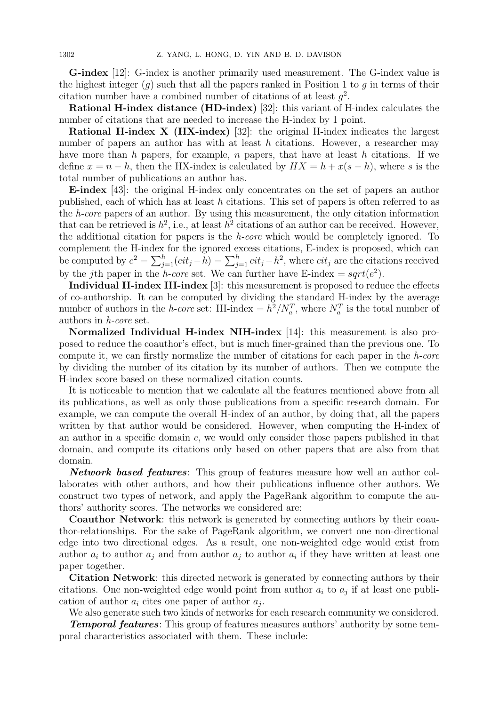G-index [12]: G-index is another primarily used measurement. The G-index value is the highest integer  $(q)$  such that all the papers ranked in Position 1 to q in terms of their citation number have a combined number of citations of at least  $g^2$ .

Rational H-index distance (HD-index) [32]: this variant of H-index calculates the number of citations that are needed to increase the H-index by 1 point.

Rational H-index X (HX-index) [32]: the original H-index indicates the largest number of papers an author has with at least h citations. However, a researcher may have more than h papers, for example, n papers, that have at least h citations. If we define  $x = n - h$ , then the HX-index is calculated by  $HX = h + x(s - h)$ , where s is the total number of publications an author has.

E-index [43]: the original H-index only concentrates on the set of papers an author published, each of which has at least h citations. This set of papers is often referred to as the h-core papers of an author. By using this measurement, the only citation information that can be retrieved is  $h^2$ , i.e., at least  $h^2$  citations of an author can be received. However, the additional citation for papers is the h-core which would be completely ignored. To complement the H-index for the ignored excess citations, E-index is proposed, which can be computed by  $e^2 = \sum_{j=1}^h (cit_j - h) = \sum_{j=1}^h cit_j - h^2$ , where  $cit_j$  are the citations received by the jth paper in the *h-core* set. We can further have E-index =  $sqrt(e^2)$ .

Individual H-index IH-index [3]: this measurement is proposed to reduce the effects of co-authorship. It can be computed by dividing the standard H-index by the average number of authors in the *h*-core set: IH-index =  $h^2/N_a^T$ , where  $N_a^T$  is the total number of authors in h-core set.

Normalized Individual H-index NIH-index [14]: this measurement is also proposed to reduce the coauthor's effect, but is much finer-grained than the previous one. To compute it, we can firstly normalize the number of citations for each paper in the h-core by dividing the number of its citation by its number of authors. Then we compute the H-index score based on these normalized citation counts.

It is noticeable to mention that we calculate all the features mentioned above from all its publications, as well as only those publications from a specific research domain. For example, we can compute the overall H-index of an author, by doing that, all the papers written by that author would be considered. However, when computing the H-index of an author in a specific domain c, we would only consider those papers published in that domain, and compute its citations only based on other papers that are also from that domain.

Network based features: This group of features measure how well an author collaborates with other authors, and how their publications influence other authors. We construct two types of network, and apply the PageRank algorithm to compute the authors' authority scores. The networks we considered are:

Coauthor Network: this network is generated by connecting authors by their coauthor-relationships. For the sake of PageRank algorithm, we convert one non-directional edge into two directional edges. As a result, one non-weighted edge would exist from author  $a_i$  to author  $a_j$  and from author  $a_j$  to author  $a_i$  if they have written at least one paper together.

Citation Network: this directed network is generated by connecting authors by their citations. One non-weighted edge would point from author  $a_i$  to  $a_j$  if at least one publication of author  $a_i$  cites one paper of author  $a_j$ .

We also generate such two kinds of networks for each research community we considered. **Temporal features:** This group of features measures authors' authority by some temporal characteristics associated with them. These include: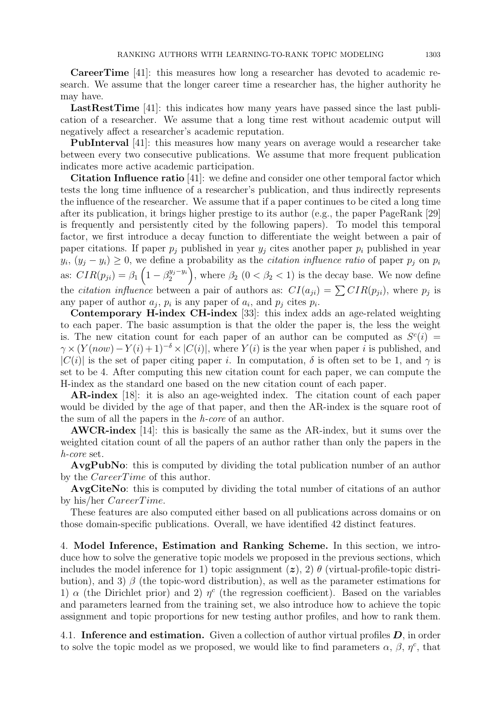CareerTime [41]: this measures how long a researcher has devoted to academic research. We assume that the longer career time a researcher has, the higher authority he may have.

LastRestTime [41]: this indicates how many years have passed since the last publication of a researcher. We assume that a long time rest without academic output will negatively affect a researcher's academic reputation.

PubInterval [41]: this measures how many years on average would a researcher take between every two consecutive publications. We assume that more frequent publication indicates more active academic participation.

Citation Influence ratio [41]: we define and consider one other temporal factor which tests the long time influence of a researcher's publication, and thus indirectly represents the influence of the researcher. We assume that if a paper continues to be cited a long time after its publication, it brings higher prestige to its author (e.g., the paper PageRank [29] is frequently and persistently cited by the following papers). To model this temporal factor, we first introduce a decay function to differentiate the weight between a pair of paper citations. If paper  $p_i$  published in year  $y_i$  cites another paper  $p_i$  published in year  $y_i$ ,  $(y_j - y_i) \geq 0$ , we define a probability as the *citation influence ratio* of paper  $p_j$  on  $p_i$ as:  $CIR(p_{ji}) = \beta_1 \left(1 - \beta_2^{y_j - y_i}\right)$  $\binom{y_j-y_i}{2}$ , where  $\beta_2$   $(0 < \beta_2 < 1)$  is the decay base. We now define the *citation influence* between a pair of authors as:  $CI(a_{ji}) = \sum CIR(p_{ji})$ , where  $p_j$  is any paper of author  $a_j$ ,  $p_i$  is any paper of  $a_i$ , and  $p_j$  cites  $p_i$ .

Contemporary H-index CH-index [33]: this index adds an age-related weighting to each paper. The basic assumption is that the older the paper is, the less the weight is. The new citation count for each paper of an author can be computed as  $S<sup>c</sup>(i)$  =  $\gamma \times (Y(now) - Y(i) + 1)^{-\delta} \times |C(i)|$ , where  $Y(i)$  is the year when paper i is published, and  $|C(i)|$  is the set of paper citing paper i. In computation,  $\delta$  is often set to be 1, and  $\gamma$  is set to be 4. After computing this new citation count for each paper, we can compute the H-index as the standard one based on the new citation count of each paper.

AR-index [18]: it is also an age-weighted index. The citation count of each paper would be divided by the age of that paper, and then the AR-index is the square root of the sum of all the papers in the h-core of an author.

AWCR-index [14]: this is basically the same as the AR-index, but it sums over the weighted citation count of all the papers of an author rather than only the papers in the h-core set.

AvgPubNo: this is computed by dividing the total publication number of an author by the CareerTime of this author.

AvgCiteNo: this is computed by dividing the total number of citations of an author by his/her CareerTime.

These features are also computed either based on all publications across domains or on those domain-specific publications. Overall, we have identified 42 distinct features.

4. Model Inference, Estimation and Ranking Scheme. In this section, we introduce how to solve the generative topic models we proposed in the previous sections, which includes the model inference for 1) topic assignment  $(z)$ , 2)  $\theta$  (virtual-profile-topic distribution), and 3)  $\beta$  (the topic-word distribution), as well as the parameter estimations for 1)  $\alpha$  (the Dirichlet prior) and 2)  $\eta^c$  (the regression coefficient). Based on the variables and parameters learned from the training set, we also introduce how to achieve the topic assignment and topic proportions for new testing author profiles, and how to rank them.

4.1. Inference and estimation. Given a collection of author virtual profiles  $D$ , in order to solve the topic model as we proposed, we would like to find parameters  $\alpha$ ,  $\beta$ ,  $\eta^c$ , that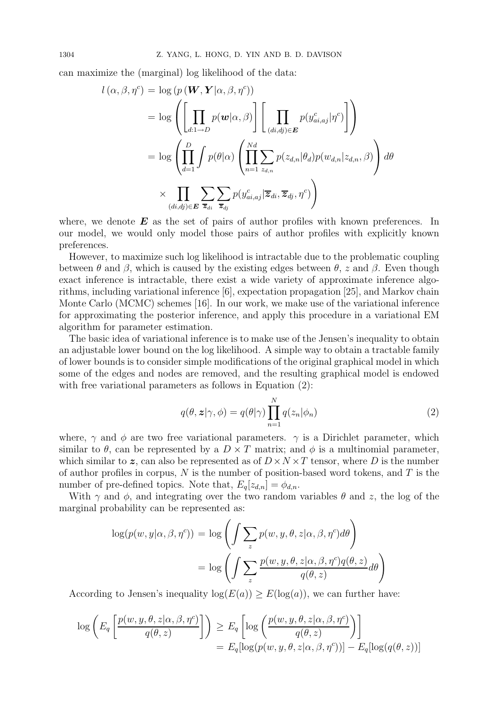can maximize the (marginal) log likelihood of the data:

$$
l(\alpha, \beta, \eta^{c}) = \log (p(\boldsymbol{W}, \boldsymbol{Y} | \alpha, \beta, \eta^{c}))
$$
  
= 
$$
\log \left( \left[ \prod_{d:1 \to D} p(\boldsymbol{w} | \alpha, \beta) \right] \left[ \prod_{(di, dj) \in \boldsymbol{E}} p(y_{ai, aj}^{c} | \eta^{c}) \right] \right)
$$
  
= 
$$
\log \left( \prod_{d=1}^{D} \int p(\theta | \alpha) \left( \prod_{n=1}^{Nd} \sum_{z_{d,n}} p(z_{d,n} | \theta_{d}) p(w_{d,n} | z_{d,n}, \beta) \right) d\theta
$$
  

$$
\times \prod_{(di, dj) \in \boldsymbol{E}} \sum_{\overline{z}_{di}} \sum_{\overline{z}_{dj}} p(y_{ai, aj}^{c} | \overline{z}_{di}, \overline{z}_{dj}, \eta^{c}) \right)
$$

where, we denote  $\boldsymbol{E}$  as the set of pairs of author profiles with known preferences. In our model, we would only model those pairs of author profiles with explicitly known preferences.

However, to maximize such log likelihood is intractable due to the problematic coupling between  $\theta$  and  $\beta$ , which is caused by the existing edges between  $\theta$ , z and  $\beta$ . Even though exact inference is intractable, there exist a wide variety of approximate inference algorithms, including variational inference [6], expectation propagation [25], and Markov chain Monte Carlo (MCMC) schemes [16]. In our work, we make use of the variational inference for approximating the posterior inference, and apply this procedure in a variational EM algorithm for parameter estimation.

The basic idea of variational inference is to make use of the Jensen's inequality to obtain an adjustable lower bound on the log likelihood. A simple way to obtain a tractable family of lower bounds is to consider simple modifications of the original graphical model in which some of the edges and nodes are removed, and the resulting graphical model is endowed with free variational parameters as follows in Equation (2):

$$
q(\theta, \mathbf{z} | \gamma, \phi) = q(\theta | \gamma) \prod_{n=1}^{N} q(z_n | \phi_n)
$$
\n(2)

where,  $\gamma$  and  $\phi$  are two free variational parameters.  $\gamma$  is a Dirichlet parameter, which similar to  $\theta$ , can be represented by a  $D \times T$  matrix; and  $\phi$  is a multinomial parameter, which similar to z, can also be represented as of  $D \times N \times T$  tensor, where D is the number of author profiles in corpus,  $N$  is the number of position-based word tokens, and  $T$  is the number of pre-defined topics. Note that,  $E_q[z_{d,n}] = \phi_{d,n}$ .

With  $\gamma$  and  $\phi$ , and integrating over the two random variables  $\theta$  and z, the log of the marginal probability can be represented as:

$$
\log(p(w, y | \alpha, \beta, \eta^c)) = \log \left( \int \sum_{z} p(w, y, \theta, z | \alpha, \beta, \eta^c) d\theta \right)
$$

$$
= \log \left( \int \sum_{z} \frac{p(w, y, \theta, z | \alpha, \beta, \eta^c) q(\theta, z)}{q(\theta, z)} d\theta \right)
$$

According to Jensen's inequality  $log(E(a)) \ge E(log(a))$ , we can further have:

$$
\log \left( E_q \left[ \frac{p(w, y, \theta, z | \alpha, \beta, \eta^c)}{q(\theta, z)} \right] \right) \ge E_q \left[ \log \left( \frac{p(w, y, \theta, z | \alpha, \beta, \eta^c)}{q(\theta, z)} \right) \right]
$$
  
=  $E_q [\log(p(w, y, \theta, z | \alpha, \beta, \eta^c))] - E_q [\log(q(\theta, z))]$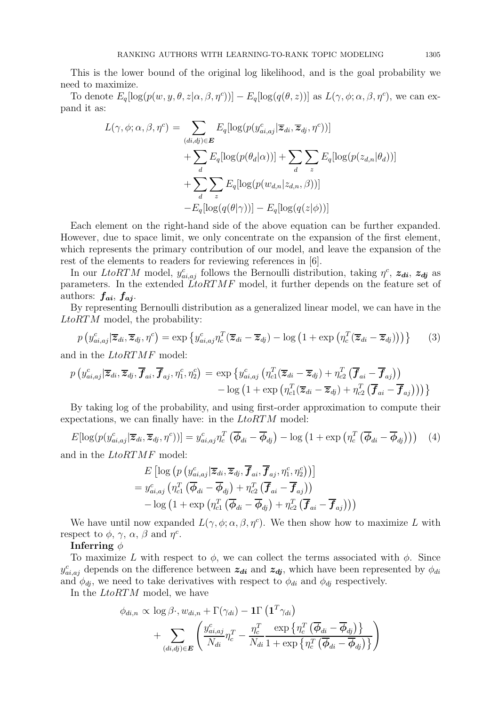This is the lower bound of the original log likelihood, and is the goal probability we need to maximize.

To denote  $E_q[log(p(w, y, \theta, z | \alpha, \beta, \eta^c))] - E_q[log(q(\theta, z))]$  as  $L(\gamma, \phi; \alpha, \beta, \eta^c)$ , we can expand it as:

$$
L(\gamma, \phi; \alpha, \beta, \eta^c) = \sum_{(di, dj) \in \mathbf{E}} E_q[\log(p(y_{ai, aj}^c | \overline{z}_{di}, \overline{z}_{dj}, \eta^c))]
$$
  
+ 
$$
\sum_d E_q[\log(p(\theta_d | \alpha))] + \sum_d \sum_z E_q[\log(p(z_{d,n} | \theta_d))]
$$
  
+ 
$$
\sum_d \sum_z E_q[\log(p(w_{d,n} | z_{d,n}, \beta))]
$$
  
- 
$$
E_q[\log(q(\theta | \gamma))] - E_q[\log(q(z | \phi))]
$$

Each element on the right-hand side of the above equation can be further expanded. However, due to space limit, we only concentrate on the expansion of the first element, which represents the primary contribution of our model, and leave the expansion of the rest of the elements to readers for reviewing references in [6].

In our LtoRTM model,  $y_{ai,aj}^c$  follows the Bernoulli distribution, taking  $\eta^c$ ,  $z_{di}$ ,  $z_{dj}$  as parameters. In the extended  $\tilde{L}$ toRTMF model, it further depends on the feature set of authors:  $f_{ai}$ ,  $f_{aj}$ .

By representing Bernoulli distribution as a generalized linear model, we can have in the LtoRTM model, the probability:

$$
p\left(y_{ai,aj}^c|\overline{z}_{di}, \overline{z}_{dj}, \eta^c\right) = \exp\left\{y_{ai,aj}^c \eta_c^T(\overline{z}_{di} - \overline{z}_{dj}) - \log\left(1 + \exp\left(\eta_c^T(\overline{z}_{di} - \overline{z}_{dj})\right)\right)\right\} \tag{3}
$$

and in the LtoRTMF model:

$$
p\left(y_{ai,aj}^c|\overline{\bm{z}}_{di},\overline{\bm{z}}_{dj},\overline{\bm{f}}_{ai},\overline{\bm{f}}_{aj},\eta_1^c,\eta_2^c\right) = \exp\left\{y_{ai,aj}^c\left(\eta_{c1}^T(\overline{\bm{z}}_{di}-\overline{\bm{z}}_{dj})+\eta_{c2}^T\left(\overline{\bm{f}}_{ai}-\overline{\bm{f}}_{aj}\right)\right) \right. \\ \left. -\log\left(1+\exp\left(\eta_{c1}^T(\overline{\bm{z}}_{di}-\overline{\bm{z}}_{dj})+\eta_{c2}^T\left(\overline{\bm{f}}_{ai}-\overline{\bm{f}}_{aj}\right)\right)\right)\right\}
$$

By taking log of the probability, and using first-order approximation to compute their expectations, we can finally have: in the LtoRTM model:

$$
E[\log(p(y_{ai,aj}^c | \overline{\mathbf{z}}_{di}, \overline{\mathbf{z}}_{dj}, \eta^c))] = y_{ai,aj}^c \eta_c^T (\overline{\phi}_{di} - \overline{\phi}_{dj}) - \log(1 + \exp(\eta_c^T (\overline{\phi}_{di} - \overline{\phi}_{dj}))) \tag{4}
$$

and in the LtoRTMF model:

$$
E\left[\log\left(p\left(y_{ai,aj}^{c}|\overline{\boldsymbol{z}}_{di},\overline{\boldsymbol{z}}_{dj},\overline{\boldsymbol{f}}_{ai},\overline{\boldsymbol{f}}_{aj},\eta_{1}^{c},\eta_{2}^{c}\right)\right)\right]
$$
  
=  $y_{ai,aj}^{c}\left(\eta_{c1}^{T}\left(\overline{\boldsymbol{\phi}}_{di}-\overline{\boldsymbol{\phi}}_{dj}\right)+\eta_{c2}^{T}\left(\overline{\boldsymbol{f}}_{ai}-\overline{\boldsymbol{f}}_{aj}\right)\right)$   
-  $\log\left(1+\exp\left(\eta_{c1}^{T}\left(\overline{\boldsymbol{\phi}}_{di}-\overline{\boldsymbol{\phi}}_{dj}\right)+\eta_{c2}^{T}\left(\overline{\boldsymbol{f}}_{ai}-\overline{\boldsymbol{f}}_{aj}\right)\right)\right)$ 

We have until now expanded  $L(\gamma, \phi; \alpha, \beta, \eta^c)$ . We then show how to maximize L with respect to  $\phi$ ,  $\gamma$ ,  $\alpha$ ,  $\beta$  and  $\eta^c$ .

### Inferring  $\phi$

To maximize L with respect to  $\phi$ , we can collect the terms associated with  $\phi$ . Since  $y_{ai,aj}^c$  depends on the difference between  $z_{di}$  and  $z_{dj}$ , which have been represented by  $\phi_{di}$ and  $\phi_{dj}$ , we need to take derivatives with respect to  $\phi_{di}$  and  $\phi_{dj}$  respectively.

In the LtoRTM model, we have

$$
\phi_{di,n} \propto \log \beta \cdot, w_{di,n} + \Gamma(\gamma_{di}) - \mathbf{1} \Gamma \left( \mathbf{1}^T \gamma_{di} \right) + \sum_{(di,dj) \in \mathbf{E}} \left( \frac{y_{ai,aj}^c}{N_{di}} \eta_c^T - \frac{\eta_c^T}{N_{di}} \frac{\exp \left\{ \eta_c^T \left( \overline{\phi}_{di} - \overline{\phi}_{dj} \right) \right\}}{\Gamma + \exp \left\{ \eta_c^T \left( \overline{\phi}_{di} - \overline{\phi}_{dj} \right) \right\}} \right)
$$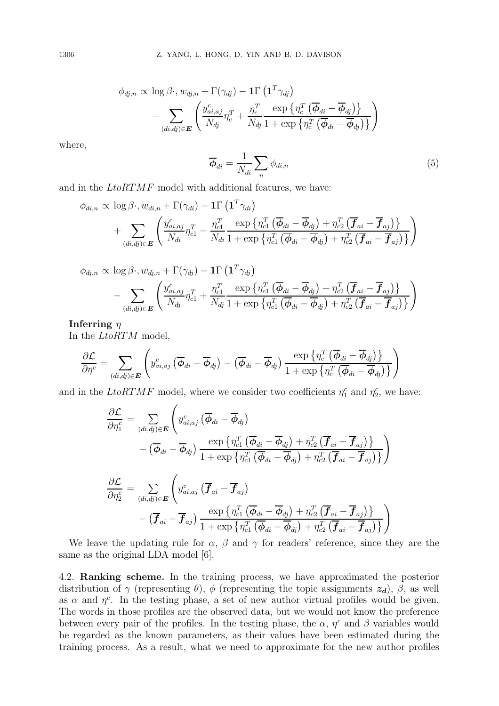$$
\begin{aligned} \phi_{dj,n} \propto & \log \beta \cdot, w_{dj,n} + \Gamma(\gamma_{dj}) - \mathbf{1} \Gamma\left(\mathbf{1}^T \gamma_{dj}\right) \\ & - \sum_{(di,dj) \in \boldsymbol{E}} \left( \frac{y_{ai,aj}^c}{N_{dj}} \eta_c^T + \frac{\eta_c^T}{N_{dj}} \frac{\exp\left\{\eta_c^T \left(\overline{\boldsymbol{\phi}}_{di} - \overline{\boldsymbol{\phi}}_{dj}\right)\right\}}{1 + \exp\left\{\eta_c^T \left(\overline{\boldsymbol{\phi}}_{di} - \overline{\boldsymbol{\phi}}_{dj}\right)\right\}} \right) \end{aligned}
$$

where,

$$
\overline{\phi}_{di} = \frac{1}{N_{di}} \sum_{n} \phi_{di,n} \tag{5}
$$

and in the LtoRTMF model with additional features, we have:

$$
\phi_{di,n} \propto \log \beta \cdot, w_{di,n} + \Gamma(\gamma_{di}) - 1\Gamma\left(\mathbf{1}^T\gamma_{di}\right) + \sum_{(di,dj)\in \mathbf{E}} \left( \frac{y_{ai,aj}^c}{N_{di}} \eta_{c1}^T - \frac{\eta_{c1}^T}{N_{di}} \frac{\exp\left\{\eta_{c1}^T\left(\overline{\boldsymbol{\phi}}_{di} - \overline{\boldsymbol{\phi}}_{dj}\right) + \eta_{c2}^T\left(\overline{\boldsymbol{f}}_{ai} - \overline{\boldsymbol{f}}_{aj}\right)\right\}}{\eta_{c1}^T\left(\overline{\boldsymbol{\phi}}_{di}} - \overline{\boldsymbol{\phi}}_{dj}\right) + \eta_{c2}^T\left(\overline{\boldsymbol{f}}_{ai} - \overline{\boldsymbol{f}}_{aj}\right)\right\}} \right)
$$

$$
\phi_{dj,n} \propto \log \beta \cdot, w_{dj,n} + \Gamma(\gamma_{dj}) - \mathbf{1} \Gamma \left( \mathbf{1}^T \gamma_{dj} \right) - \sum_{(di,dj) \in \mathbf{E}} \left( \frac{y_{ai,aj}^c}{N_{dj}} \eta_{c1}^T + \frac{\eta_{c1}^T}{N_{dj}} \frac{\exp \left\{ \eta_{c1}^T \left( \overline{\boldsymbol{\phi}}_{di} - \overline{\boldsymbol{\phi}}_{dj} \right) + \eta_{c2}^T \left( \overline{\boldsymbol{f}}_{ai} - \overline{\boldsymbol{f}}_{aj} \right) \right\} }{\eta_{c1}^T \left( \overline{\boldsymbol{\phi}}_{di} - \overline{\boldsymbol{\phi}}_{dj} \right) + \eta_{c2}^T \left( \overline{\boldsymbol{f}}_{ai} - \overline{\boldsymbol{f}}_{aj} \right) \right\} } \right)
$$

# Inferring  $\eta$

In the LtoRTM model,

$$
\frac{\partial \mathcal{L}}{\partial \eta^c} = \sum_{(d i, d j) \in \boldsymbol{E}} \left( y^c_{a i, a j} \left( \overline{\boldsymbol{\phi}}_{d i} - \overline{\boldsymbol{\phi}}_{d j} \right) - \left( \overline{\boldsymbol{\phi}}_{d i} - \overline{\boldsymbol{\phi}}_{d j} \right) \frac{\exp \left\{ \eta^T_c \left( \overline{\boldsymbol{\phi}}_{d i} - \overline{\boldsymbol{\phi}}_{d j} \right) \right\}}{1 + \exp \left\{ \eta^T_c \left( \overline{\boldsymbol{\phi}}_{d i} - \overline{\boldsymbol{\phi}}_{d j} \right) \right\}} \right)
$$

and in the LtoRTMF model, where we consider two coefficients  $\eta_1^c$  and  $\eta_2^c$ , we have:

$$
\frac{\partial \mathcal{L}}{\partial \eta_1^c} = \sum_{(di,dj) \in \mathbf{E}} \left( y_{ai,aj}^c \left( \overline{\phi}_{di} - \overline{\phi}_{dj} \right) \right.\n- \left( \overline{\phi}_{di} - \overline{\phi}_{dj} \right) \frac{\exp \left\{ \eta_{c1}^T \left( \overline{\phi}_{di} - \overline{\phi}_{dj} \right) + \eta_{c2}^T \left( \overline{\mathbf{f}}_{ai} - \overline{\mathbf{f}}_{aj} \right) \right\}}{1 + \exp \left\{ \eta_{c1}^T \left( \overline{\phi}_{di} - \overline{\phi}_{dj} \right) + \eta_{c2}^T \left( \overline{\mathbf{f}}_{ai} - \overline{\mathbf{f}}_{aj} \right) \right\}} \right)\n\frac{\partial \mathcal{L}}{\partial \eta_2^c} = \sum_{(di,dj) \in \mathbf{E}} \left( y_{ai,aj}^c \left( \overline{\mathbf{f}}_{ai} - \overline{\mathbf{f}}_{aj} \right) \right.\n- \left( \overline{\mathbf{f}}_{ai} - \overline{\mathbf{f}}_{aj} \right) \frac{\exp \left\{ \eta_{c1}^T \left( \overline{\phi}_{di} - \overline{\phi}_{dj} \right) + \eta_{c2}^T \left( \overline{\mathbf{f}}_{ai} - \overline{\mathbf{f}}_{aj} \right) \right\}}{1 + \exp \left\{ \eta_{c1}^T \left( \overline{\phi}_{di} - \overline{\phi}_{dj} \right) + \eta_{c2}^T \left( \overline{\mathbf{f}}_{ai} - \overline{\mathbf{f}}_{aj} \right) \right\}} \right)
$$

We leave the updating rule for  $\alpha$ ,  $\beta$  and  $\gamma$  for readers' reference, since they are the same as the original LDA model [6].

4.2. Ranking scheme. In the training process, we have approximated the posterior distribution of  $\gamma$  (representing  $\theta$ ),  $\phi$  (representing the topic assignments  $z_d$ ),  $\beta$ , as well as  $\alpha$  and  $\eta^c$ . In the testing phase, a set of new author virtual profiles would be given. The words in those profiles are the observed data, but we would not know the preference between every pair of the profiles. In the testing phase, the  $\alpha$ ,  $\eta^c$  and  $\beta$  variables would be regarded as the known parameters, as their values have been estimated during the training process. As a result, what we need to approximate for the new author profiles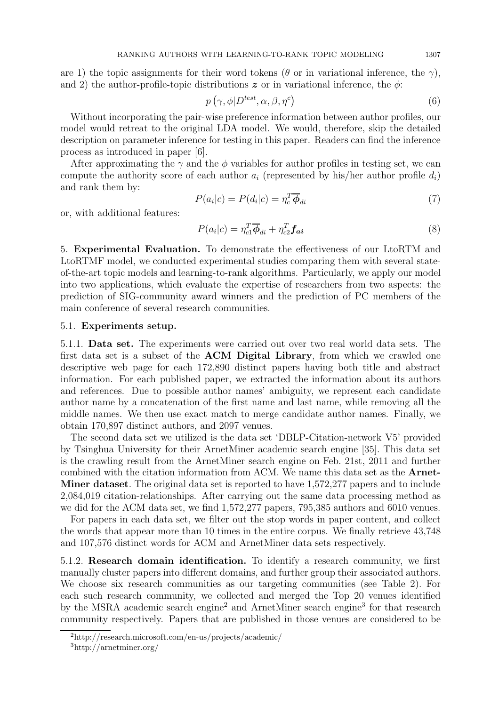are 1) the topic assignments for their word tokens ( $\theta$  or in variational inference, the  $\gamma$ ), and 2) the author-profile-topic distributions  $\boldsymbol{z}$  or in variational inference, the  $\phi$ :

$$
p\left(\gamma, \phi | D^{test}, \alpha, \beta, \eta^c\right) \tag{6}
$$

Without incorporating the pair-wise preference information between author profiles, our model would retreat to the original LDA model. We would, therefore, skip the detailed description on parameter inference for testing in this paper. Readers can find the inference process as introduced in paper [6].

After approximating the  $\gamma$  and the  $\phi$  variables for author profiles in testing set, we can compute the authority score of each author  $a_i$  (represented by his/her author profile  $d_i$ ) and rank them by:

$$
P(a_i|c) = P(d_i|c) = \eta_c^T \overline{\phi}_{di}
$$
\n<sup>(7)</sup>

or, with additional features:

$$
P(a_i|c) = \eta_{c1}^T \overline{\phi}_{di} + \eta_{c2}^T \mathbf{f}_{ai}
$$
\n(8)

5. Experimental Evaluation. To demonstrate the effectiveness of our LtoRTM and LtoRTMF model, we conducted experimental studies comparing them with several stateof-the-art topic models and learning-to-rank algorithms. Particularly, we apply our model into two applications, which evaluate the expertise of researchers from two aspects: the prediction of SIG-community award winners and the prediction of PC members of the main conference of several research communities.

### 5.1. Experiments setup.

5.1.1. Data set. The experiments were carried out over two real world data sets. The first data set is a subset of the ACM Digital Library, from which we crawled one descriptive web page for each 172,890 distinct papers having both title and abstract information. For each published paper, we extracted the information about its authors and references. Due to possible author names' ambiguity, we represent each candidate author name by a concatenation of the first name and last name, while removing all the middle names. We then use exact match to merge candidate author names. Finally, we obtain 170,897 distinct authors, and 2097 venues.

The second data set we utilized is the data set 'DBLP-Citation-network V5' provided by Tsinghua University for their ArnetMiner academic search engine [35]. This data set is the crawling result from the ArnetMiner search engine on Feb. 21st, 2011 and further combined with the citation information from ACM. We name this data set as the Arnet-Miner dataset. The original data set is reported to have 1,572,277 papers and to include 2,084,019 citation-relationships. After carrying out the same data processing method as we did for the ACM data set, we find 1,572,277 papers, 795,385 authors and 6010 venues.

For papers in each data set, we filter out the stop words in paper content, and collect the words that appear more than 10 times in the entire corpus. We finally retrieve 43,748 and 107,576 distinct words for ACM and ArnetMiner data sets respectively.

5.1.2. Research domain identification. To identify a research community, we first manually cluster papers into different domains, and further group their associated authors. We choose six research communities as our targeting communities (see Table 2). For each such research community, we collected and merged the Top 20 venues identified by the MSRA academic search engine<sup>2</sup> and ArnetMiner search engine<sup>3</sup> for that research community respectively. Papers that are published in those venues are considered to be

<sup>2</sup>http://research.microsoft.com/en-us/projects/academic/

<sup>3</sup>http://arnetminer.org/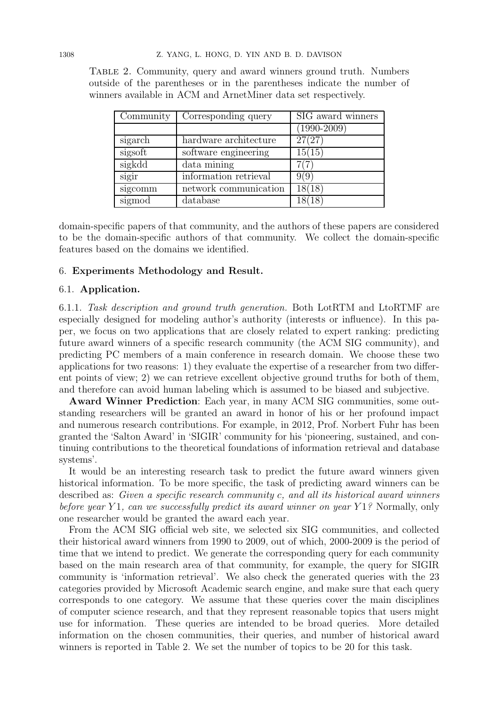| Community | Corresponding query   | SIG award winners |
|-----------|-----------------------|-------------------|
|           |                       | $(1990 - 2009)$   |
| sigarch   | hardware architecture | 27(27)            |
| sigsoft   | software engineering  | 15(15)            |
| sigkdd    | data mining           |                   |
| sigir     | information retrieval | 9(9)              |
| sigcomm   | network communication | 18(18)            |
| sigmod    | database              |                   |

Table 2. Community, query and award winners ground truth. Numbers outside of the parentheses or in the parentheses indicate the number of winners available in ACM and ArnetMiner data set respectively.

domain-specific papers of that community, and the authors of these papers are considered to be the domain-specific authors of that community. We collect the domain-specific features based on the domains we identified.

#### 6. Experiments Methodology and Result.

#### 6.1. Application.

6.1.1. Task description and ground truth generation. Both LotRTM and LtoRTMF are especially designed for modeling author's authority (interests or influence). In this paper, we focus on two applications that are closely related to expert ranking: predicting future award winners of a specific research community (the ACM SIG community), and predicting PC members of a main conference in research domain. We choose these two applications for two reasons: 1) they evaluate the expertise of a researcher from two different points of view; 2) we can retrieve excellent objective ground truths for both of them, and therefore can avoid human labeling which is assumed to be biased and subjective.

Award Winner Prediction: Each year, in many ACM SIG communities, some outstanding researchers will be granted an award in honor of his or her profound impact and numerous research contributions. For example, in 2012, Prof. Norbert Fuhr has been granted the 'Salton Award' in 'SIGIR' community for his 'pioneering, sustained, and continuing contributions to the theoretical foundations of information retrieval and database systems'.

It would be an interesting research task to predict the future award winners given historical information. To be more specific, the task of predicting award winners can be described as: Given a specific research community c, and all its historical award winners before year Y1, can we successfully predict its award winner on year Y1? Normally, only one researcher would be granted the award each year.

From the ACM SIG official web site, we selected six SIG communities, and collected their historical award winners from 1990 to 2009, out of which, 2000-2009 is the period of time that we intend to predict. We generate the corresponding query for each community based on the main research area of that community, for example, the query for SIGIR community is 'information retrieval'. We also check the generated queries with the 23 categories provided by Microsoft Academic search engine, and make sure that each query corresponds to one category. We assume that these queries cover the main disciplines of computer science research, and that they represent reasonable topics that users might use for information. These queries are intended to be broad queries. More detailed information on the chosen communities, their queries, and number of historical award winners is reported in Table 2. We set the number of topics to be 20 for this task.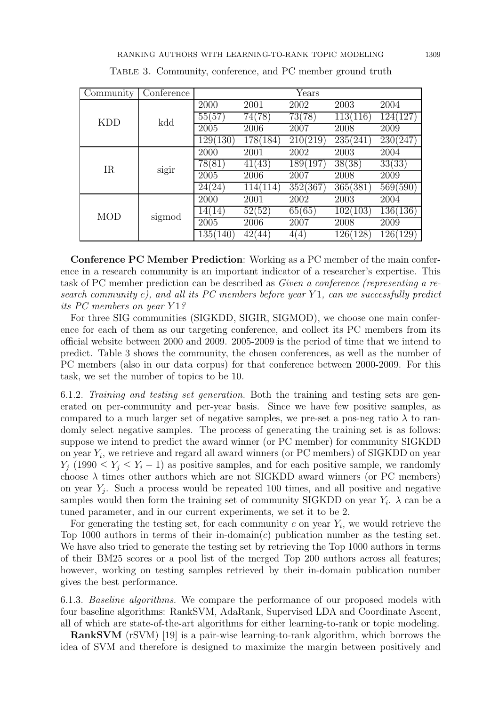| Community  | $\sqrt{\text{Copference}}$ |          |          | Years    |          |                    |
|------------|----------------------------|----------|----------|----------|----------|--------------------|
|            | kdd                        | 2000     | 2001     | 2002     | 2003     | 2004               |
| <b>KDD</b> |                            | 55(57)   | 74(78)   | 73(78)   | 113(116) | (127)<br>1240      |
|            |                            | 2005     | 2006     | 2007     | 2008     | 2009               |
|            |                            | 129(130) | 178(184) | 210(219) | 235(241) | 230(247)           |
|            | sigir                      | 2000     | 2001     | 2002     | 2003     | 2004               |
| <b>IR</b>  |                            | 78(81)   | 41(43)   | 189(197) | 38(38)   | 33(33)             |
|            |                            | 2005     | 2006     | 2007     | 2008     | 2009               |
|            |                            | 24(24)   | 114(114) | 352(367) | 365(381) | 569(590)           |
| <b>MOD</b> | sigmod                     | 2000     | 2001     | 2002     | 2003     | 2004               |
|            |                            | 14(14)   | 52(52)   | 65(65)   | 102(103) | 136(136)           |
|            |                            | 2005     | 2006     | 2007     | 2008     | 2009               |
|            |                            | 135(140) | 42(44)   | 4(4)     | 126(128) | <b>129</b><br>126( |

TABLE 3. Community, conference, and PC member ground truth

Conference PC Member Prediction: Working as a PC member of the main conference in a research community is an important indicator of a researcher's expertise. This task of PC member prediction can be described as Given a conference (representing a research community c), and all its PC members before year Y1, can we successfully predict its PC members on year Y1?

For three SIG communities (SIGKDD, SIGIR, SIGMOD), we choose one main conference for each of them as our targeting conference, and collect its PC members from its official website between 2000 and 2009. 2005-2009 is the period of time that we intend to predict. Table 3 shows the community, the chosen conferences, as well as the number of PC members (also in our data corpus) for that conference between 2000-2009. For this task, we set the number of topics to be 10.

6.1.2. Training and testing set generation. Both the training and testing sets are generated on per-community and per-year basis. Since we have few positive samples, as compared to a much larger set of negative samples, we pre-set a pos-neg ratio  $\lambda$  to randomly select negative samples. The process of generating the training set is as follows: suppose we intend to predict the award winner (or PC member) for community SIGKDD on year  $Y_i$ , we retrieve and regard all award winners (or PC members) of SIGKDD on year  $Y_j$  (1990  $\leq Y_j \leq Y_i - 1$ ) as positive samples, and for each positive sample, we randomly choose  $\lambda$  times other authors which are not SIGKDD award winners (or PC members) on year  $Y_j$ . Such a process would be repeated 100 times, and all positive and negative samples would then form the training set of community SIGKDD on year  $Y_i$ .  $\lambda$  can be a tuned parameter, and in our current experiments, we set it to be 2.

For generating the testing set, for each community  $c$  on year  $Y_i$ , we would retrieve the Top 1000 authors in terms of their in-domain(c) publication number as the testing set. We have also tried to generate the testing set by retrieving the Top 1000 authors in terms of their BM25 scores or a pool list of the merged Top 200 authors across all features; however, working on testing samples retrieved by their in-domain publication number gives the best performance.

6.1.3. Baseline algorithms. We compare the performance of our proposed models with four baseline algorithms: RankSVM, AdaRank, Supervised LDA and Coordinate Ascent, all of which are state-of-the-art algorithms for either learning-to-rank or topic modeling.

RankSVM (rSVM) [19] is a pair-wise learning-to-rank algorithm, which borrows the idea of SVM and therefore is designed to maximize the margin between positively and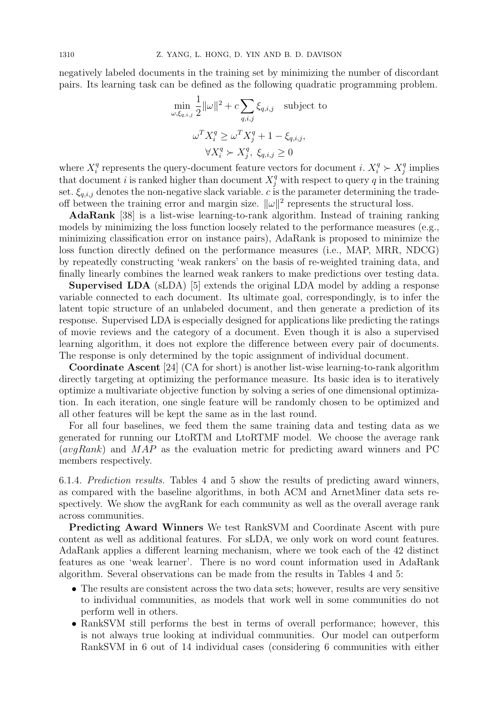negatively labeled documents in the training set by minimizing the number of discordant pairs. Its learning task can be defined as the following quadratic programming problem.

$$
\min_{\omega, \xi_{q,i,j}} \frac{1}{2} ||\omega||^2 + c \sum_{q,i,j} \xi_{q,i,j} \quad \text{subject to}
$$
\n
$$
\omega^T X_i^q \ge \omega^T X_j^q + 1 - \xi_{q,i,j},
$$
\n
$$
\forall X_i^q \succ X_j^q, \ \xi_{q,i,j} \ge 0
$$

where  $X_i^q$ <sup>q</sup> represents the query-document feature vectors for document *i*.  $X_i^q \succ X_j^q$  $j^q$  implies that document i is ranked higher than document  $X_j^q$  with respect to query q in the training set.  $\xi_{q,i,j}$  denotes the non-negative slack variable. c is the parameter determining the tradeoff between the training error and margin size.  $\|\omega\|^2$  represents the structural loss.

AdaRank [38] is a list-wise learning-to-rank algorithm. Instead of training ranking models by minimizing the loss function loosely related to the performance measures (e.g., minimizing classification error on instance pairs), AdaRank is proposed to minimize the loss function directly defined on the performance measures (i.e., MAP, MRR, NDCG) by repeatedly constructing 'weak rankers' on the basis of re-weighted training data, and finally linearly combines the learned weak rankers to make predictions over testing data.

Supervised LDA (sLDA) [5] extends the original LDA model by adding a response variable connected to each document. Its ultimate goal, correspondingly, is to infer the latent topic structure of an unlabeled document, and then generate a prediction of its response. Supervised LDA is especially designed for applications like predicting the ratings of movie reviews and the category of a document. Even though it is also a supervised learning algorithm, it does not explore the difference between every pair of documents. The response is only determined by the topic assignment of individual document.

Coordinate Ascent [24] (CA for short) is another list-wise learning-to-rank algorithm directly targeting at optimizing the performance measure. Its basic idea is to iteratively optimize a multivariate objective function by solving a series of one dimensional optimization. In each iteration, one single feature will be randomly chosen to be optimized and all other features will be kept the same as in the last round.

For all four baselines, we feed them the same training data and testing data as we generated for running our LtoRTM and LtoRTMF model. We choose the average rank  $(avgRank)$  and  $MAP$  as the evaluation metric for predicting award winners and PC members respectively.

6.1.4. Prediction results. Tables 4 and 5 show the results of predicting award winners, as compared with the baseline algorithms, in both ACM and ArnetMiner data sets respectively. We show the avgRank for each community as well as the overall average rank across communities.

Predicting Award Winners We test RankSVM and Coordinate Ascent with pure content as well as additional features. For sLDA, we only work on word count features. AdaRank applies a different learning mechanism, where we took each of the 42 distinct features as one 'weak learner'. There is no word count information used in AdaRank algorithm. Several observations can be made from the results in Tables 4 and 5:

- The results are consistent across the two data sets; however, results are very sensitive to individual communities, as models that work well in some communities do not perform well in others.
- RankSVM still performs the best in terms of overall performance; however, this is not always true looking at individual communities. Our model can outperform RankSVM in 6 out of 14 individual cases (considering 6 communities with either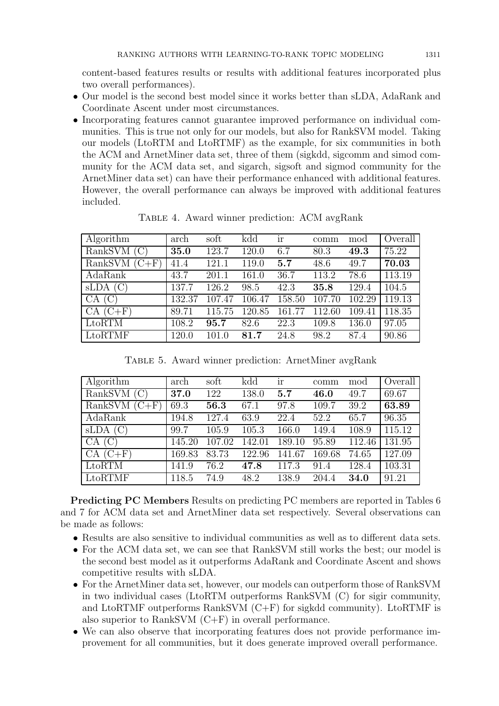content-based features results or results with additional features incorporated plus two overall performances).

- Our model is the second best model since it works better than sLDA, AdaRank and Coordinate Ascent under most circumstances.
- Incorporating features cannot guarantee improved performance on individual communities. This is true not only for our models, but also for RankSVM model. Taking our models (LtoRTM and LtoRTMF) as the example, for six communities in both the ACM and ArnetMiner data set, three of them (sigkdd, sigcomm and simod community for the ACM data set, and sigarch, sigsoft and sigmod community for the ArnetMiner data set) can have their performance enhanced with additional features. However, the overall performance can always be improved with additional features included.

| Algorithm        | arch   | soft   | kdd    | ır     | comm   | mod    | Overall |
|------------------|--------|--------|--------|--------|--------|--------|---------|
| $RankSVM$ (C)    | 35.0   | 123.7  | 120.0  | 6.7    | 80.3   | 49.3   | 75.22   |
| RankSVM<br>$C+F$ | 41.4   | 121.1  | 119.0  | 5.7    | 48.6   | 49.7   | 70.03   |
| AdaRank          | 43.7   | 201.1  | 161.0  | 36.7   | 113.2  | 78.6   | 113.19  |
| sLDA<br>(C)      | 137.7  | 126.2  | 98.5   | 42.3   | 35.8   | 129.4  | 104.5   |
| CA<br>(C)        | 132.37 | 107.47 | 106.47 | 158.50 | 107.70 | 102.29 | 119.13  |
| $(C+F)$<br>CA    | 89.71  | 115.75 | 120.85 | 161.77 | 112.60 | 109.41 | 118.35  |
| LtoRTM           | 108.2  | 95.7   | 82.6   | 22.3   | 109.8  | 136.0  | 97.05   |
| LtoRTMF          | 120.0  | 101.0  | 81.7   | 24.8   | 98.2   | 87.4   | 90.86   |

Table 4. Award winner prediction: ACM avgRank

Table 5. Award winner prediction: ArnetMiner avgRank

| Algorithm          | arch   | soft   | kdd    | <sub>1</sub> r | comm   | mod    | Overall |
|--------------------|--------|--------|--------|----------------|--------|--------|---------|
| RankSVM            | 37.0   | 122    | 138.0  | 5.7            | 46.0   | 49.7   | 69.67   |
| RankSVM<br>$(C+F)$ | 69.3   | 56.3   | 67.1   | 97.8           | 109.7  | 39.2   | 63.89   |
| AdaRank            | 194.8  | 127.4  | 63.9   | 22.4           | 52.2   | 65.7   | 96.35   |
| (C)<br>sLDA        | 99.7   | 105.9  | 105.3  | 166.0          | 149.4  | 108.9  | 115.12  |
| (C)<br>CA          | 145.20 | 107.02 | 142.01 | 189.10         | 95.89  | 112.46 | 131.95  |
| $(C+F)$<br>CA      | 169.83 | 83.73  | 122.96 | 141.67         | 169.68 | 74.65  | 127.09  |
| LtoRTM             | 141.9  | 76.2   | 47.8   | 117.3          | 91.4   | 128.4  | 103.31  |
| LtoRTMF            | 118.5  | 74.9   | 48.2   | 138.9          | 204.4  | 34.0   | 91.21   |

Predicting PC Members Results on predicting PC members are reported in Tables 6 and 7 for ACM data set and ArnetMiner data set respectively. Several observations can be made as follows:

- Results are also sensitive to individual communities as well as to different data sets.
- For the ACM data set, we can see that RankSVM still works the best; our model is the second best model as it outperforms AdaRank and Coordinate Ascent and shows competitive results with sLDA.
- For the ArnetMiner data set, however, our models can outperform those of RankSVM in two individual cases (LtoRTM outperforms RankSVM (C) for sigir community, and LtoRTMF outperforms RankSVM (C+F) for sigkdd community). LtoRTMF is also superior to RankSVM (C+F) in overall performance.
- We can also observe that incorporating features does not provide performance improvement for all communities, but it does generate improved overall performance.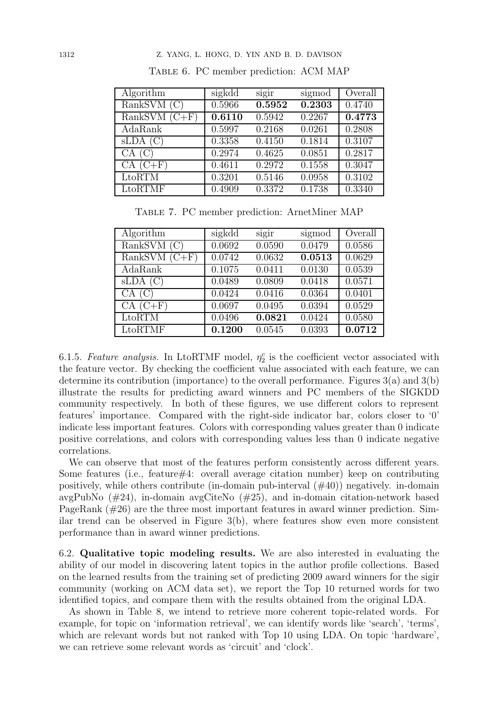| Algorithm             | sigkdd | sigir  | sigmod | Overall |
|-----------------------|--------|--------|--------|---------|
| RankSVM(C)            | 0.5966 | 0.5952 | 0.2303 | 0.4740  |
| RankSVM<br>$(C+F)$    | 0.6110 | 0.5942 | 0.2267 | 0.4773  |
| AdaRank               | 0.5997 | 0.2168 | 0.0261 | 0.2808  |
| $SLDA$ (C)            | 0.3358 | 0.4150 | 0.1814 | 0.3107  |
| CA(G)                 | 0.2974 | 0.4625 | 0.0851 | 0.2817  |
| $CA(C+F)$             | 0.4611 | 0.2972 | 0.1558 | 0.3047  |
| LtoRTM                | 0.3201 | 0.5146 | 0.0958 | 0.3102  |
| $Lto$ <sub>RTMF</sub> | 0.4909 | 0.3372 | 0.1738 | 0.3340  |

Table 6. PC member prediction: ACM MAP

Table 7. PC member prediction: ArnetMiner MAP

| Algorithm       | sigkdd | sigir  | sigmod              | Overall |
|-----------------|--------|--------|---------------------|---------|
| RankSVM(C)      | 0.0692 | 0.0590 | 0.0479              | 0.0586  |
| RankSVM $(C+F)$ | 0.0742 | 0.0632 | 0.0513              | 0.0629  |
| AdaRank         | 0.1075 | 0.0411 | 0.0130              | 0.0539  |
| $SLDA$ (C)      | 0.0489 | 0.0809 | 0.0418              | 0.0571  |
| CA(C)           | 0.0424 | 0.0416 | 0.0364              | 0.0401  |
| $CA(C+F)$       | 0.0697 | 0.0495 | 0.0394              | 0.0529  |
| LtoRTM          | 0.0496 | 0.0821 | 0.0424              | 0.0580  |
| LtoRTMF         | 0.1200 | 0.0545 | $0.039\overline{3}$ | 0.0712  |

6.1.5. Feature analysis. In LtoRTMF model,  $\eta_2^c$  is the coefficient vector associated with the feature vector. By checking the coefficient value associated with each feature, we can determine its contribution (importance) to the overall performance. Figures 3(a) and 3(b) illustrate the results for predicting award winners and PC members of the SIGKDD community respectively. In both of these figures, we use different colors to represent features' importance. Compared with the right-side indicator bar, colors closer to '0' indicate less important features. Colors with corresponding values greater than 0 indicate positive correlations, and colors with corresponding values less than 0 indicate negative correlations.

We can observe that most of the features perform consistently across different years. Some features (i.e., feature#4: overall average citation number) keep on contributing positively, while others contribute (in-domain pub-interval  $(\#40)$ ) negatively. in-domain avgPubNo  $(\#24)$ , in-domain avgCiteNo  $(\#25)$ , and in-domain citation-network based PageRank (#26) are the three most important features in award winner prediction. Similar trend can be observed in Figure  $3(b)$ , where features show even more consistent performance than in award winner predictions.

6.2. Qualitative topic modeling results. We are also interested in evaluating the ability of our model in discovering latent topics in the author profile collections. Based on the learned results from the training set of predicting 2009 award winners for the sigir community (working on ACM data set), we report the Top 10 returned words for two identified topics, and compare them with the results obtained from the original LDA.

As shown in Table 8, we intend to retrieve more coherent topic-related words. For example, for topic on 'information retrieval', we can identify words like 'search', 'terms', which are relevant words but not ranked with Top 10 using LDA. On topic 'hardware', we can retrieve some relevant words as 'circuit' and 'clock'.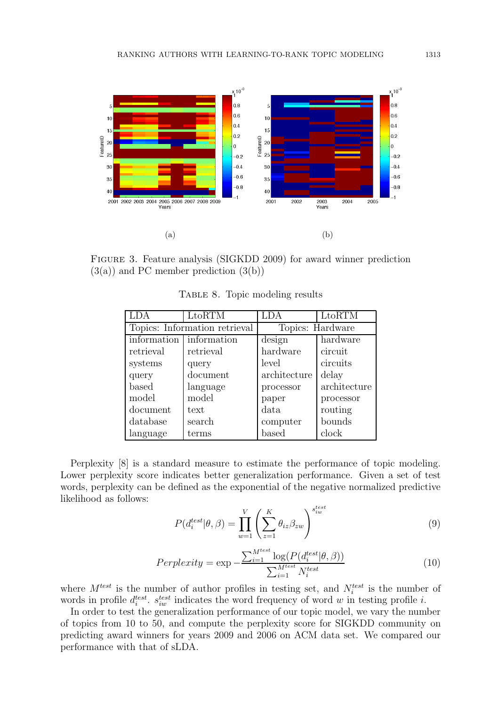

Figure 3. Feature analysis (SIGKDD 2009) for award winner prediction  $(3(a))$  and PC member prediction  $(3(b))$ 

|             | LtoRTM                        | LDA               | LtoRTM       |  |
|-------------|-------------------------------|-------------------|--------------|--|
|             | Topics: Information retrieval | Topics: Hardware  |              |  |
| information | information                   | design            | hardware     |  |
| retrieval   | retrieval                     | hardware          | circuit      |  |
| systems     | query                         | level             | circuits     |  |
| query       | document                      | architecture      | delay        |  |
| based       | language                      | processor         | architecture |  |
| model       | model                         | paper             | processor    |  |
| document    | text                          | data              | routing      |  |
| database    | search                        | computer          | bounds       |  |
| language    | terms                         | $_{\text{based}}$ | clock        |  |

TABLE 8. Topic modeling results

Perplexity [8] is a standard measure to estimate the performance of topic modeling. Lower perplexity score indicates better generalization performance. Given a set of test words, perplexity can be defined as the exponential of the negative normalized predictive likelihood as follows:

$$
P(d_i^{test}|\theta, \beta) = \prod_{w=1}^{V} \left(\sum_{z=1}^{K} \theta_{iz} \beta_{zw}\right)^{s_{iw}^{test}}
$$
(9)

$$
Perplexity = \exp -\frac{\sum_{i=1}^{M^{test}} \log(P(d_i^{test}|\theta, \beta))}{\sum_{i=1}^{M^{test}} N_i^{test}} \tag{10}
$$

where  $M^{test}$  is the number of author profiles in testing set, and  $N_i^{test}$  is the number of words in profile  $d_i^{test}$ .  $s_{iw}^{test}$  indicates the word frequency of word w in testing profile i.

In order to test the generalization performance of our topic model, we vary the number of topics from 10 to 50, and compute the perplexity score for SIGKDD community on predicting award winners for years 2009 and 2006 on ACM data set. We compared our performance with that of sLDA.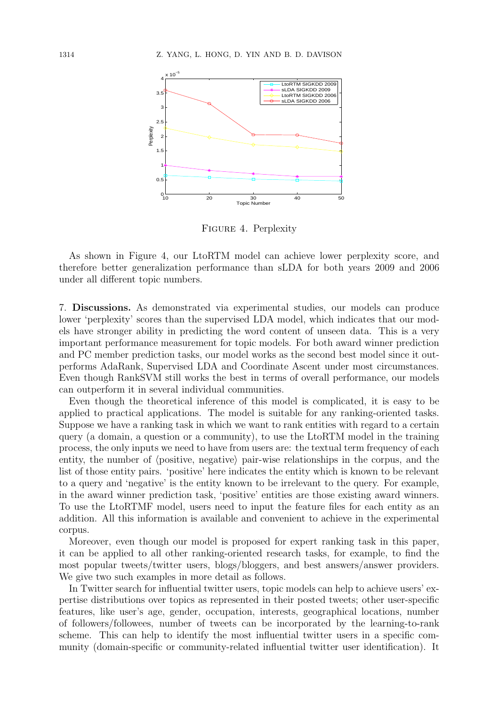

Figure 4. Perplexity

As shown in Figure 4, our LtoRTM model can achieve lower perplexity score, and therefore better generalization performance than sLDA for both years 2009 and 2006 under all different topic numbers.

7. Discussions. As demonstrated via experimental studies, our models can produce lower 'perplexity' scores than the supervised LDA model, which indicates that our models have stronger ability in predicting the word content of unseen data. This is a very important performance measurement for topic models. For both award winner prediction and PC member prediction tasks, our model works as the second best model since it outperforms AdaRank, Supervised LDA and Coordinate Ascent under most circumstances. Even though RankSVM still works the best in terms of overall performance, our models can outperform it in several individual communities.

Even though the theoretical inference of this model is complicated, it is easy to be applied to practical applications. The model is suitable for any ranking-oriented tasks. Suppose we have a ranking task in which we want to rank entities with regard to a certain query (a domain, a question or a community), to use the LtoRTM model in the training process, the only inputs we need to have from users are: the textual term frequency of each entity, the number of  $\langle$  positive, negative $\rangle$  pair-wise relationships in the corpus, and the list of those entity pairs. 'positive' here indicates the entity which is known to be relevant to a query and 'negative' is the entity known to be irrelevant to the query. For example, in the award winner prediction task, 'positive' entities are those existing award winners. To use the LtoRTMF model, users need to input the feature files for each entity as an addition. All this information is available and convenient to achieve in the experimental corpus.

Moreover, even though our model is proposed for expert ranking task in this paper, it can be applied to all other ranking-oriented research tasks, for example, to find the most popular tweets/twitter users, blogs/bloggers, and best answers/answer providers. We give two such examples in more detail as follows.

In Twitter search for influential twitter users, topic models can help to achieve users' expertise distributions over topics as represented in their posted tweets; other user-specific features, like user's age, gender, occupation, interests, geographical locations, number of followers/followees, number of tweets can be incorporated by the learning-to-rank scheme. This can help to identify the most influential twitter users in a specific community (domain-specific or community-related influential twitter user identification). It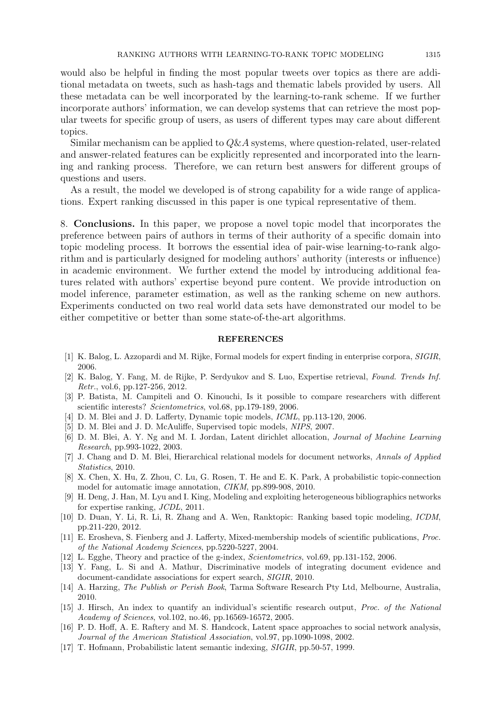would also be helpful in finding the most popular tweets over topics as there are additional metadata on tweets, such as hash-tags and thematic labels provided by users. All these metadata can be well incorporated by the learning-to-rank scheme. If we further incorporate authors' information, we can develop systems that can retrieve the most popular tweets for specific group of users, as users of different types may care about different topics.

Similar mechanism can be applied to  $Q\&A$  systems, where question-related, user-related and answer-related features can be explicitly represented and incorporated into the learning and ranking process. Therefore, we can return best answers for different groups of questions and users.

As a result, the model we developed is of strong capability for a wide range of applications. Expert ranking discussed in this paper is one typical representative of them.

8. Conclusions. In this paper, we propose a novel topic model that incorporates the preference between pairs of authors in terms of their authority of a specific domain into topic modeling process. It borrows the essential idea of pair-wise learning-to-rank algorithm and is particularly designed for modeling authors' authority (interests or influence) in academic environment. We further extend the model by introducing additional features related with authors' expertise beyond pure content. We provide introduction on model inference, parameter estimation, as well as the ranking scheme on new authors. Experiments conducted on two real world data sets have demonstrated our model to be either competitive or better than some state-of-the-art algorithms.

#### REFERENCES

- [1] K. Balog, L. Azzopardi and M. Rijke, Formal models for expert finding in enterprise corpora, *SIGIR*, 2006.
- [2] K. Balog, Y. Fang, M. de Rijke, P. Serdyukov and S. Luo, Expertise retrieval, *Found. Trends Inf. Retr.*, vol.6, pp.127-256, 2012.
- [3] P. Batista, M. Campiteli and O. Kinouchi, Is it possible to compare researchers with different scientific interests? *Scientometrics*, vol.68, pp.179-189, 2006.
- [4] D. M. Blei and J. D. Lafferty, Dynamic topic models, *ICML*, pp.113-120, 2006.
- [5] D. M. Blei and J. D. McAuliffe, Supervised topic models, *NIPS*, 2007.
- [6] D. M. Blei, A. Y. Ng and M. I. Jordan, Latent dirichlet allocation, *Journal of Machine Learning Research*, pp.993-1022, 2003.
- [7] J. Chang and D. M. Blei, Hierarchical relational models for document networks, *Annals of Applied Statistics*, 2010.
- [8] X. Chen, X. Hu, Z. Zhou, C. Lu, G. Rosen, T. He and E. K. Park, A probabilistic topic-connection model for automatic image annotation, *CIKM*, pp.899-908, 2010.
- [9] H. Deng, J. Han, M. Lyu and I. King, Modeling and exploiting heterogeneous bibliographics networks for expertise ranking, *JCDL*, 2011.
- [10] D. Duan, Y. Li, R. Li, R. Zhang and A. Wen, Ranktopic: Ranking based topic modeling, *ICDM*, pp.211-220, 2012.
- [11] E. Erosheva, S. Fienberg and J. Lafferty, Mixed-membership models of scientific publications, *Proc. of the National Academy Sciences*, pp.5220-5227, 2004.
- [12] L. Egghe, Theory and practice of the g-index, *Scientometrics*, vol.69, pp.131-152, 2006.
- [13] Y. Fang, L. Si and A. Mathur, Discriminative models of integrating document evidence and document-candidate associations for expert search, *SIGIR*, 2010.
- [14] A. Harzing, *The Publish or Perish Book*, Tarma Software Research Pty Ltd, Melbourne, Australia, 2010.
- [15] J. Hirsch, An index to quantify an individual's scientific research output, *Proc. of the National Academy of Sciences*, vol.102, no.46, pp.16569-16572, 2005.
- [16] P. D. Hoff, A. E. Raftery and M. S. Handcock, Latent space approaches to social network analysis, *Journal of the American Statistical Association*, vol.97, pp.1090-1098, 2002.
- [17] T. Hofmann, Probabilistic latent semantic indexing, *SIGIR*, pp.50-57, 1999.